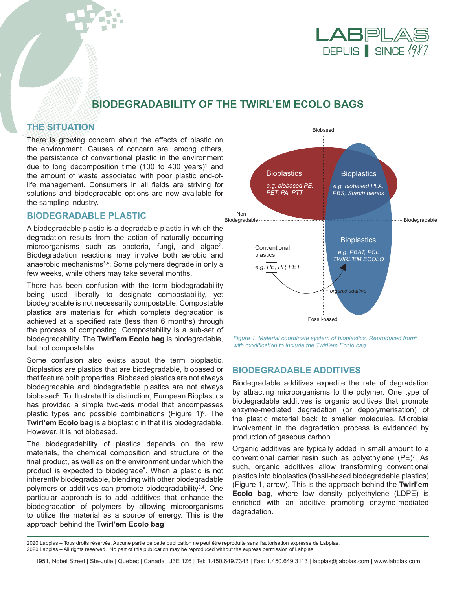

# **BIODEGRADABILITY OF THE TWIRL'EM ECOLO BAGS**

# **THE SITUATION**

There is growing concern about the effects of plastic on the environment. Causes of concern are, among others, the persistence of conventional plastic in the environment due to long decomposition time (100 to 400 years)<sup>1</sup> and the amount of waste associated with poor plastic end-oflife management. Consumers in all fields are striving for solutions and biodegradable options are now available for the sampling industry.

# **BIODEGRADABLE PLASTIC**

A biodegradable plastic is a degradable plastic in which the degradation results from the action of naturally occurring microorganisms such as bacteria, fungi, and algae<sup>2</sup>. Biodegradation reactions may involve both aerobic and anaerobic mechanisms<sup>3,4</sup>. Some polymers degrade in only a few weeks, while others may take several months.

There has been confusion with the term biodegradability being used liberally to designate compostability, yet biodegradable is not necessarily compostable. Compostable plastics are materials for which complete degradation is achieved at a specified rate (less than 6 months) through the process of composting. Compostability is a sub-set of biodegradability. The **Twirl'em Ecolo bag** is biodegradable, but not compostable.

Some confusion also exists about the term bioplastic. Bioplastics are plastics that are biodegradable, biobased or that feature both properties. Biobased plastics are not always biodegradable and biodegradable plastics are not always biobased<sup>5</sup>. To illustrate this distinction, European Bioplastics has provided a simple two-axis model that encompasses plastic types and possible combinations (Figure 1)<sup>6</sup>. The **Twirl'em Ecolo bag** is a bioplastic in that it is biodegradable. However, it is not biobased.

The biodegradability of plastics depends on the raw materials, the chemical composition and structure of the final product, as well as on the environment under which the product is expected to biodegrade<sup>5</sup>. When a plastic is not inherently biodegradable, blending with other biodegradable polymers or additives can promote biodegradability<sup>3,4</sup>. One particular approach is to add additives that enhance the biodegradation of polymers by allowing microorganisms to utilize the material as a source of energy. This is the approach behind the **Twirl'em Ecolo bag**.



*Figure 1. Material coordinate system of bioplastics. Reproduced from6 with modification to include the Twirl'em Ecolo bag.*

# **BIODEGRADABLE ADDITIVES**

Biodegradable additives expedite the rate of degradation by attracting microorganisms to the polymer. One type of biodegradable additives is organic additives that promote enzyme-mediated degradation (or depolymerisation) of the plastic material back to smaller molecules. Microbial involvement in the degradation process is evidenced by production of gaseous carbon.

Organic additives are typically added in small amount to a conventional carrier resin such as polyethylene (PE)<sup>7</sup>. As such, organic additives allow transforming conventional plastics into bioplastics (fossil-based biodegradable plastics) (Figure 1, arrow). This is the approach behind the **Twirl'em Ecolo bag**, where low density polyethylene (LDPE) is enriched with an additive promoting enzyme-mediated degradation.

<sup>2020</sup> Labplas – Tous droits réservés. Aucune partie de cette publication ne peut être reproduite sans l'autorisation expresse de Labplas.

<sup>2020</sup> Labplas – All rights reserved. No part of this publication may be reproduced without the express permission of Labplas.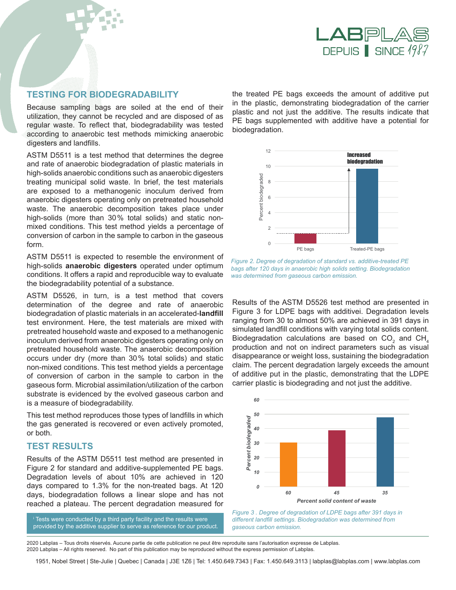

#### **TESTING FOR BIODEGRADABILITY**

Because sampling bags are soiled at the end of their utilization, they cannot be recycled and are disposed of as regular waste. To reflect that, biodegradability was tested according to anaerobic test methods mimicking anaerobic digesters and landfills.

ASTM D5511 is a test method that determines the degree and rate of anaerobic biodegradation of plastic materials in high-solids anaerobic conditions such as anaerobic digesters treating municipal solid waste. In brief, the test materials are exposed to a methanogenic inoculum derived from anaerobic digesters operating only on pretreated household 0 waste. The anaerobic decomposition takes place under high-solids (more than 30% total solids) and static nonmixed conditions. This test method yields a percentage of conversion of carbon in the sample to carbon in the gaseous form. er<br>Percent<br>Percent biogeraded

ASTM D5511 is expected to resemble the environment of high-solids **anaerobic digesters** operated under optimum conditions. It offers a rapid and reproducible way to evaluate the biodegradability potential of a substance.

ASTM D5526, in turn, is a test method that covers determination of the degree and rate of anaerobic biodegradation of plastic materials in an accelerated-**landfill**  test environment. Here, the test materials are mixed with pretreated household waste and exposed to a methanogenic inoculum derived from anaerobic digesters operating only on pretreated household waste. The anaerobic decomposition occurs under dry (more than 30% total solids) and static non-mixed conditions. This test method yields a percentage of conversion of carbon in the sample to carbon in the gaseous form. Microbial assimilation/utilization of the carbon substrate is evidenced by the evolved gaseous carbon and is a measure of biodegradability.

This test method reproduces those types of landfills in which the gas generated is recovered or even actively promoted, or both.

## **TEST RESULTS**

Results of the ASTM D5511 test method are presented in Figure 2 for standard and additive-supplemented PE bags. Degradation levels of about 10% are achieved in 120 days compared to 1.3% for the non-treated bags. At 120 days, biodegradation follows a linear slope and has not reached a plateau. The percent degradation measured for

 Tests were conducted by a third party facility and the results were provided by the additive supplier to serve as reference for our product. the treated PE bags exceeds the amount of additive put in the plastic, demonstrating biodegradation of the carrier plastic and not just the additive. The results indicate that PE bags supplemented with additive have a potential for biodegradation.



*Figure 2. Degree of degradation of standard vs. additive-treated PE bags after 120 days in anaerobic high solids setting. Biodegradation was determined from gaseous carbon emission.* 

Results of the ASTM D5526 test method are presented in Figure 3 for LDPE bags with additivei. Degradation levels ranging from 30 to almost 50% are achieved in 391 days in simulated landfill conditions with varying total solids content. Biodegradation calculations are based on CO<sub>2</sub> and CH<sub>4</sub> production and not on indirect parameters such as visual disappearance or weight loss, sustaining the biodegradation claim. The percent degradation largely exceeds the amount of additive put in the plastic, demonstrating that the LDPE carrier plastic is biodegrading and not just the additive.



*Figure 3 . Degree of degradation of LDPE bags after 391 days in different landfill settings. Biodegradation was determined from gaseous carbon emission.*

2020 Labplas – Tous droits réservés. Aucune partie de cette publication ne peut être reproduite sans l'autorisation expresse de Labplas. 2020 Labplas – All rights reserved. No part of this publication may be reproduced without the express permission of Labplas.

1951, Nobel Street | Ste-Julie | Quebec | Canada | J3E 1Z6 | Tel: 1.450.649.7343 | Fax: 1.450.649.3113 | labplas@labplas.com | www.labplas.com